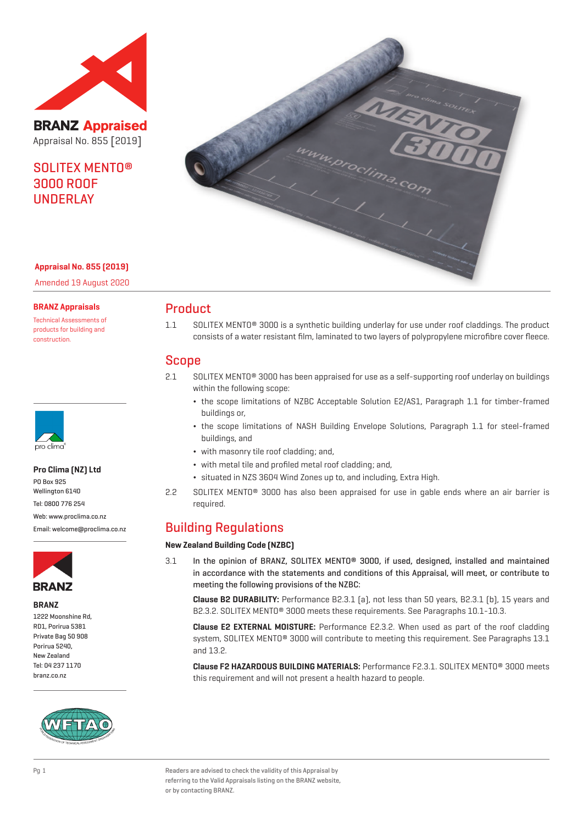

**BRANZ Appraised** Appraisal No. 855 [2019]

# SOLITEX MENTO® 3000 ROOF UNDERLAY



#### **Appraisal No. 855 (2019)**

Amended 19 August 2020

#### **BRANZ Appraisals**

Technical Assessments of products for building and construction.



#### **Pro Clima (NZ) Ltd**

PO Box 925 Wellington 6140 Tel: 0800 776 254 Web: www.proclima.co.nz

Email: welcome@proclima.co.nz



#### **BRANZ**

1222 Moonshine Rd, RD1, Porirua 5381 Private Bag 50 908 Porirua 5240, New Zealand Tel: 04 237 1170 branz.co.nz



### Product

1.1 SOLITEX MENTO® 3000 is a synthetic building underlay for use under roof claddings. The product consists of a water resistant film, laminated to two layers of polypropylene microfibre cover fleece.

### Scope

- 2.1 SOLITEX MENTO® 3000 has been appraised for use as a self-supporting roof underlay on buildings within the following scope:
	- ¬ the scope limitations of NZBC Acceptable Solution E2/AS1, Paragraph 1.1 for timber-framed buildings or,
	- ¬ the scope limitations of NASH Building Envelope Solutions, Paragraph 1.1 for steel-framed buildings, and
	- ¬ with masonry tile roof cladding; and,
	- ¬ with metal tile and profiled metal roof cladding; and,
	- ¬ situated in NZS 3604 Wind Zones up to, and including, Extra High.
- 2.2 SOLITEX MENTO® 3000 has also been appraised for use in gable ends where an air barrier is required.

### Building Regulations

#### **New Zealand Building Code (NZBC)**

3.1 In the opinion of BRANZ, SOLITEX MENTO® 3000, if used, designed, installed and maintained in accordance with the statements and conditions of this Appraisal, will meet, or contribute to meeting the following provisions of the NZBC:

**Clause B2 DURABILITY:** Performance B2.3.1 (a), not less than 50 years, B2.3.1 (b), 15 years and B2.3.2. SOLITEX MENTO® 3000 meets these requirements. See Paragraphs 10.1-10.3.

**Clause E2 EXTERNAL MOISTURE:** Performance E2.3.2. When used as part of the roof cladding system, SOLITEX MENTO® 3000 will contribute to meeting this requirement. See Paragraphs 13.1 and 13.2.

**Clause F2 HAZARDOUS BUILDING MATERIALS:** Performance F2.3.1. SOLITEX MENTO® 3000 meets this requirement and will not present a health hazard to people.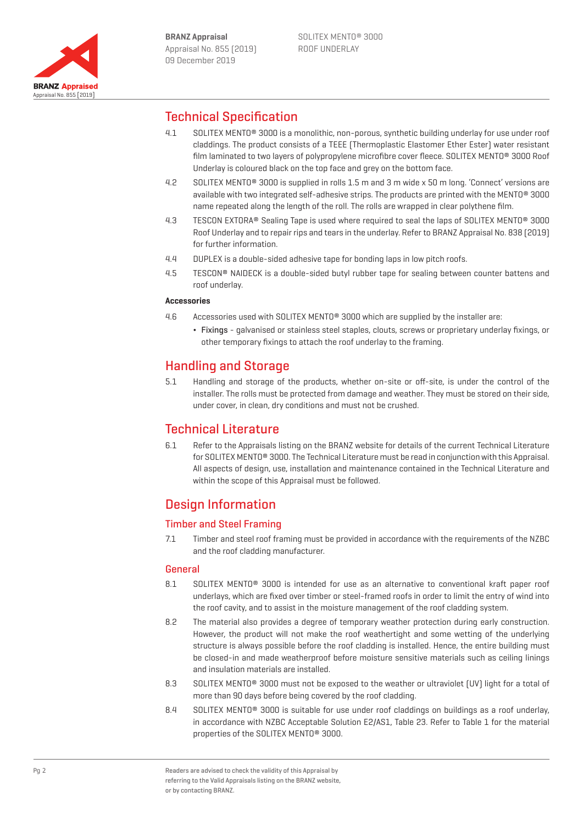

# Technical Specification

- 4.1 SOLITEX MENTO® 3000 is a monolithic, non-porous, synthetic building underlay for use under roof claddings. The product consists of a TEEE (Thermoplastic Elastomer Ether Ester) water resistant film laminated to two layers of polypropylene microfibre cover fleece. SOLITEX MENTO® 3000 Roof Underlay is coloured black on the top face and grey on the bottom face.
- 4.2 SOLITEX MENTO® 3000 is supplied in rolls 1.5 m and 3 m wide x 50 m long. 'Connect' versions are available with two integrated self-adhesive strips. The products are printed with the MENTO® 3000 name repeated along the length of the roll. The rolls are wrapped in clear polythene film.
- 4.3 TESCON EXTORA® Sealing Tape is used where required to seal the laps of SOLITEX MENTO® 3000 Roof Underlay and to repair rips and tears in the underlay. Refer to BRANZ Appraisal No. 838 (2019) for further information.
- 4.4 DUPLEX is a double-sided adhesive tape for bonding laps in low pitch roofs.
- 4.5 TESCON® NAIDECK is a double-sided butyl rubber tape for sealing between counter battens and roof underlay.

#### **Accessories**

- 4.6 Accessories used with SOLITEX MENTO<sup>®</sup> 3000 which are supplied by the installer are:
	- ¬ Fixings galvanised or stainless steel staples, clouts, screws or proprietary underlay fixings, or other temporary fixings to attach the roof underlay to the framing.

# Handling and Storage

5.1 Handling and storage of the products, whether on-site or off-site, is under the control of the installer. The rolls must be protected from damage and weather. They must be stored on their side, under cover, in clean, dry conditions and must not be crushed.

## Technical Literature

6.1 Refer to the Appraisals listing on the BRANZ website for details of the current Technical Literature for SOLITEX MENTO® 3000. The Technical Literature must be read in conjunction with this Appraisal. All aspects of design, use, installation and maintenance contained in the Technical Literature and within the scope of this Appraisal must be followed.

# Design Information

### Timber and Steel Framing

7.1 Timber and steel roof framing must be provided in accordance with the requirements of the NZBC and the roof cladding manufacturer.

### General

- 8.1 SOLITEX MENTO<sup>®</sup> 3000 is intended for use as an alternative to conventional kraft paper roof underlays, which are fixed over timber or steel-framed roofs in order to limit the entry of wind into the roof cavity, and to assist in the moisture management of the roof cladding system.
- 8.2 The material also provides a degree of temporary weather protection during early construction. However, the product will not make the roof weathertight and some wetting of the underlying structure is always possible before the roof cladding is installed. Hence, the entire building must be closed-in and made weatherproof before moisture sensitive materials such as ceiling linings and insulation materials are installed.
- 8.3 SOLITEX MENTO<sup>®</sup> 3000 must not be exposed to the weather or ultraviolet (UV) light for a total of more than 90 days before being covered by the roof cladding.
- 8.4 SOLITEX MENTO<sup>®</sup> 3000 is suitable for use under roof claddings on buildings as a roof underlay, in accordance with NZBC Acceptable Solution E2/AS1, Table 23. Refer to Table 1 for the material properties of the SOLITEX MENTO® 3000.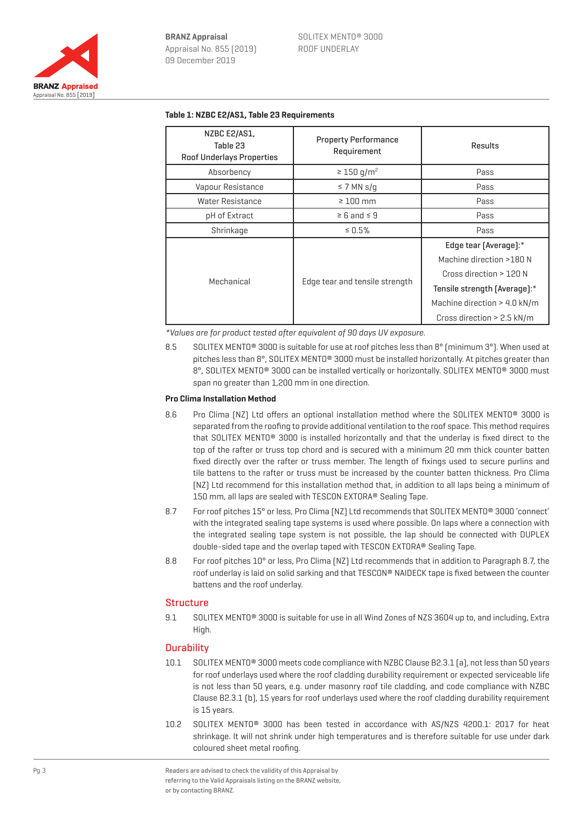

| NZBC E2/AS1,<br>Table 23<br><b>Roof Underlays Properties</b> | <b>Property Performance</b><br>Requirement | <b>Results</b>               |
|--------------------------------------------------------------|--------------------------------------------|------------------------------|
| Absorbency                                                   | $\geq 150$ g/m <sup>2</sup>                | Pass                         |
| Vapour Resistance                                            | $\leq$ 7 MN s/g                            | Pass                         |
| Water Resistance                                             | $\geq 100$ mm                              | Pass                         |
| pH of Extract                                                | $\geq 6$ and $\leq 9$                      | Pass                         |
| Shrinkage                                                    | $\leq 0.5\%$                               | Pass                         |
| Mechanical                                                   | Edge tear and tensile strength             | Edge tear (Average):*        |
|                                                              |                                            | Machine direction >180 N     |
|                                                              |                                            | Cross direction > 120 N      |
|                                                              |                                            | Tensile strength (Average):* |
|                                                              |                                            | Machine direction > 4.0 kN/m |
|                                                              |                                            | Cross direction $> 2.5$ kN/m |

#### **Table 1: NZBC E2/AS1, Table 23 Requirements**

\*Values are for product tested after equivalent of 90 days UV exposure.

8.5 SOLITEX MENTO® 3000 is suitable for use at roof pitches less than 8° (minimum 3°). When used at pitches less than 8°, SOLITEX MENTO® 3000 must be installed horizontally. At pitches greater than 8°, SOLITEX MENTO® 3000 can be installed vertically or horizontally. SOLITEX MENTO® 3000 must span no greater than 1,200 mm in one direction.

#### **Pro Clima Installation Method**

- 8.6 Pro Clima (NZ) Ltd offers an optional installation method where the SOLITEX MENTO<sup>®</sup> 3000 is separated from the roofing to provide additional ventilation to the roof space. This method requires that SOLITEX MENTO® 3000 is installed horizontally and that the underlay is fixed direct to the top of the rafter or truss top chord and is secured with a minimum 20 mm thick counter batten fixed directly over the rafter or truss member. The length of fixings used to secure purlins and tile battens to the rafter or truss must be increased by the counter batten thickness. Pro Clima (NZ) Ltd recommend for this installation method that, in addition to all laps being a minimum of 150 mm, all laps are sealed with TESCON EXTORA® Sealing Tape.
- 8.7 For roof pitches 15° or less, Pro Clima (NZ) Ltd recommends that SOLITEX MENTO® 3000 'connect' with the integrated sealing tape systems is used where possible. On laps where a connection with the integrated sealing tape system is not possible, the lap should be connected with DUPLEX double-sided tape and the overlap taped with TESCON EXTORA® Sealing Tape.
- 8.8 For roof pitches 10° or less, Pro Clima (NZ) Ltd recommends that in addition to Paragraph 8.7, the roof underlay is laid on solid sarking and that TESCON® NAIDECK tape is fixed between the counter battens and the roof underlay.

#### **Structure**

9.1 SOLITEX MENTO® 3000 is suitable for use in all Wind Zones of NZS 3604 up to, and including, Extra High.

#### **Durability**

- 10.1 SOLITEX MENTO® 3000 meets code compliance with NZBC Clause B2.3.1 (a), not less than 50 years for roof underlays used where the roof cladding durability requirement or expected serviceable life is not less than 50 years, e.g. under masonry roof tile cladding, and code compliance with NZBC Clause B2.3.1 (b), 15 years for roof underlays used where the roof cladding durability requirement is 15 years.
- 10.2 SOLITEX MENTO® 3000 has been tested in accordance with AS/NZS 4200.1: 2017 for heat shrinkage. It will not shrink under high temperatures and is therefore suitable for use under dark coloured sheet metal roofing.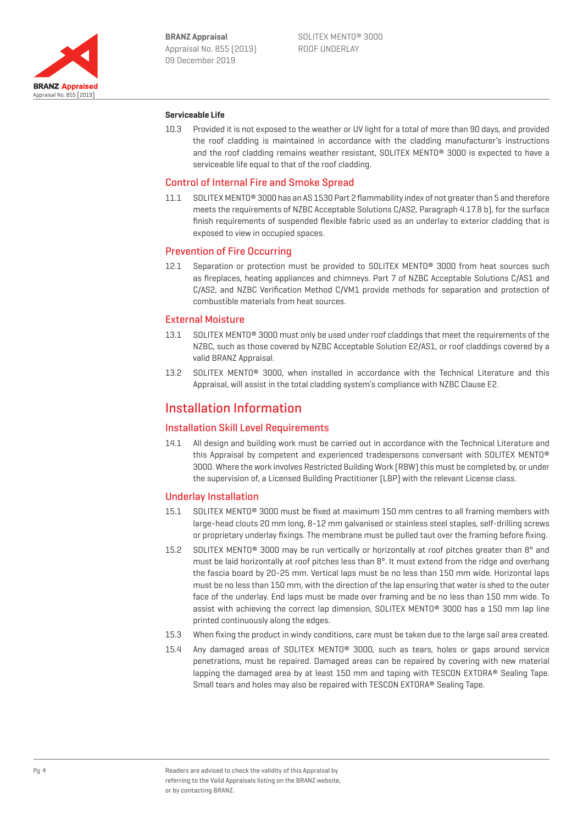

#### **Serviceable Life**

10.3 Provided it is not exposed to the weather or UV light for a total of more than 90 days, and provided the roof cladding is maintained in accordance with the cladding manufacturer's instructions and the roof cladding remains weather resistant, SOLITEX MENTO® 3000 is expected to have a serviceable life equal to that of the roof cladding.

#### Control of Internal Fire and Smoke Spread

11.1 SOLITEX MENTO® 3000 has an AS 1530 Part 2 flammability index of not greater than 5 and therefore meets the requirements of NZBC Acceptable Solutions C/AS2, Paragraph 4.17.8 b), for the surface finish requirements of suspended flexible fabric used as an underlay to exterior cladding that is exposed to view in occupied spaces.

#### Prevention of Fire Occurring

12.1 Separation or protection must be provided to SOLITEX MENTO<sup>®</sup> 3000 from heat sources such as fireplaces, heating appliances and chimneys. Part 7 of NZBC Acceptable Solutions C/AS1 and C/AS2, and NZBC Verification Method C/VM1 provide methods for separation and protection of combustible materials from heat sources.

#### External Moisture

- 13.1 SOLITEX MENTO® 3000 must only be used under roof claddings that meet the requirements of the NZBC, such as those covered by NZBC Acceptable Solution E2/AS1, or roof claddings covered by a valid BRANZ Appraisal.
- 13.2 SOLITEX MENTO® 3000, when installed in accordance with the Technical Literature and this Appraisal, will assist in the total cladding system's compliance with NZBC Clause E2.

### Installation Information

#### Installation Skill Level Requirements

14.1 All design and building work must be carried out in accordance with the Technical Literature and this Appraisal by competent and experienced tradespersons conversant with SOLITEX MENTO® 3000. Where the work involves Restricted Building Work (RBW) this must be completed by, or under the supervision of, a Licensed Building Practitioner (LBP) with the relevant License class.

#### Underlay Installation

- 15.1 SOLITEX MENTO® 3000 must be fixed at maximum 150 mm centres to all framing members with large-head clouts 20 mm long, 8-12 mm galvanised or stainless steel staples, self-drilling screws or proprietary underlay fixings. The membrane must be pulled taut over the framing before fixing.
- 15.2 SOLITEX MENTO® 3000 may be run vertically or horizontally at roof pitches greater than 8° and must be laid horizontally at roof pitches less than 8°. It must extend from the ridge and overhang the fascia board by 20-25 mm. Vertical laps must be no less than 150 mm wide. Horizontal laps must be no less than 150 mm, with the direction of the lap ensuring that water is shed to the outer face of the underlay. End laps must be made over framing and be no less than 150 mm wide. To assist with achieving the correct lap dimension, SOLITEX MENTO® 3000 has a 150 mm lap line printed continuously along the edges.
- 15.3 When fixing the product in windy conditions, care must be taken due to the large sail area created.
- 15.4 Any damaged areas of SOLITEX MENTO® 3000, such as tears, holes or gaps around service penetrations, must be repaired. Damaged areas can be repaired by covering with new material lapping the damaged area by at least 150 mm and taping with TESCON EXTORA® Sealing Tape. Small tears and holes may also be repaired with TESCON EXTORA® Sealing Tape.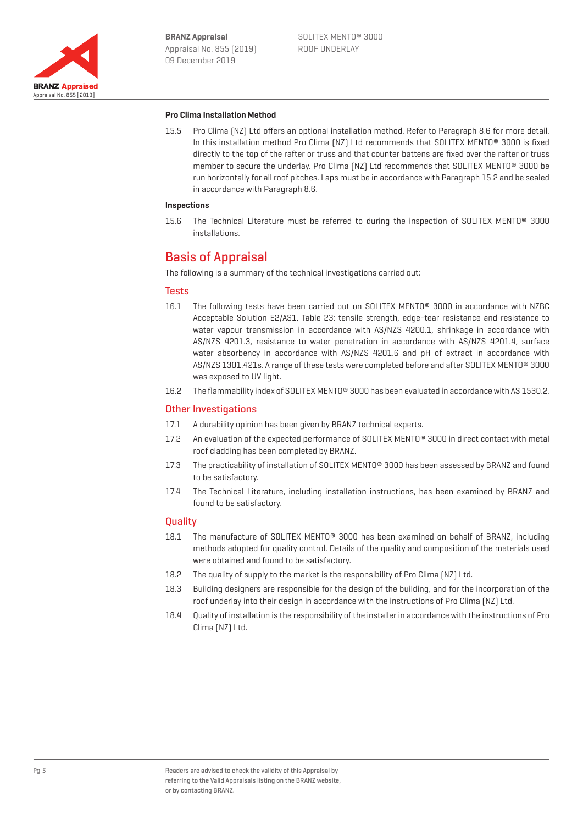

#### **Pro Clima Installation Method**

15.5 Pro Clima (NZ) Ltd offers an optional installation method. Refer to Paragraph 8.6 for more detail. In this installation method Pro Clima [NZ] Ltd recommends that SOLITEX MENTO<sup>®</sup> 3000 is fixed directly to the top of the rafter or truss and that counter battens are fixed over the rafter or truss member to secure the underlay. Pro Clima (NZ) Ltd recommends that SOLITEX MENTO® 3000 be run horizontally for all roof pitches. Laps must be in accordance with Paragraph 15.2 and be sealed in accordance with Paragraph 8.6.

#### **Inspections**

15.6 The Technical Literature must be referred to during the inspection of SOLITEX MENTO® 3000 installations.

## Basis of Appraisal

The following is a summary of the technical investigations carried out:

#### **Tests**

- 16.1 The following tests have been carried out on SOLITEX MENTO® 3000 in accordance with NZBC Acceptable Solution E2/AS1, Table 23: tensile strength, edge-tear resistance and resistance to water vapour transmission in accordance with AS/NZS 4200.1, shrinkage in accordance with AS/NZS 4201.3, resistance to water penetration in accordance with AS/NZS 4201.4, surface water absorbency in accordance with AS/NZS 4201.6 and pH of extract in accordance with AS/NZS 1301.421s. A range of these tests were completed before and after SOLITEX MENTO® 3000 was exposed to UV light.
- 16.2 The flammability index of SOLITEX MENTO® 3000 has been evaluated in accordance with AS 1530.2.

#### Other Investigations

- 17.1 A durability opinion has been given by BRANZ technical experts.
- 17.2 An evaluation of the expected performance of SOLITEX MENTO<sup>®</sup> 3000 in direct contact with metal roof cladding has been completed by BRANZ.
- 17.3 The practicability of installation of SOLITEX MENTO® 3000 has been assessed by BRANZ and found to be satisfactory.
- 17.4 The Technical Literature, including installation instructions, has been examined by BRANZ and found to be satisfactory.

#### **Quality**

- 18.1 The manufacture of SOLITEX MENTO<sup>®</sup> 3000 has been examined on behalf of BRANZ, including methods adopted for quality control. Details of the quality and composition of the materials used were obtained and found to be satisfactory.
- 18.2 The quality of supply to the market is the responsibility of Pro Clima (NZ) Ltd.
- 18.3 Building designers are responsible for the design of the building, and for the incorporation of the roof underlay into their design in accordance with the instructions of Pro Clima (NZ) Ltd.
- 18.4 Quality of installation is the responsibility of the installer in accordance with the instructions of Pro Clima (NZ) Ltd.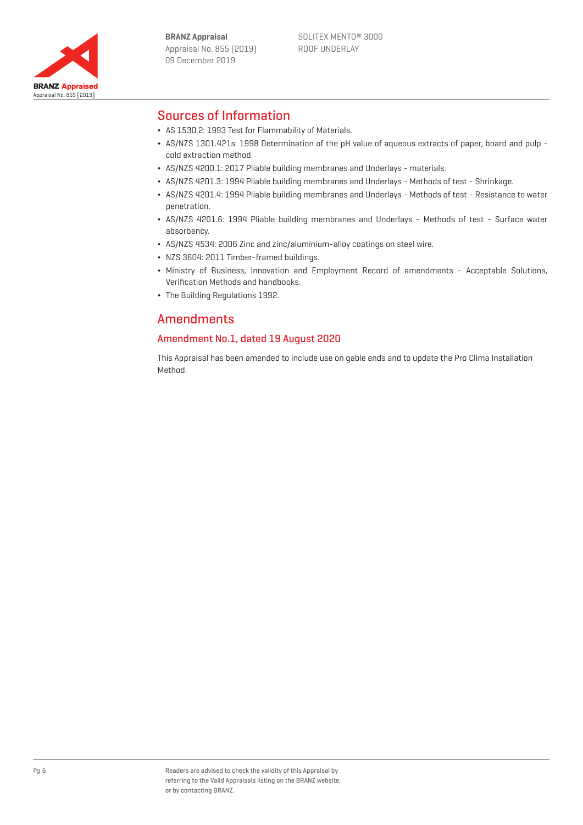

# Sources of Information

- ¬ AS 1530.2: 1993 Test for Flammability of Materials.
- ¬ AS/NZS 1301.421s: 1998 Determination of the pH value of aqueous extracts of paper, board and pulp cold extraction method.
- ¬ AS/NZS 4200.1: 2017 Pliable building membranes and Underlays materials.
- ¬ AS/NZS 4201.3: 1994 Pliable building membranes and Underlays Methods of test Shrinkage.
- ¬ AS/NZS 4201.4: 1994 Pliable building membranes and Underlays Methods of test Resistance to water penetration.
- ¬ AS/NZS 4201.6: 1994 Pliable building membranes and Underlays Methods of test Surface water absorbency.
- ¬ AS/NZS 4534: 2006 Zinc and zinc/aluminium-alloy coatings on steel wire.
- ¬ NZS 3604: 2011 Timber-framed buildings.
- ¬ Ministry of Business, Innovation and Employment Record of amendments Acceptable Solutions, Verification Methods and handbooks.
- The Building Regulations 1992.

## Amendments

### Amendment No.1, dated 19 August 2020

This Appraisal has been amended to include use on gable ends and to update the Pro Clima Installation Method.